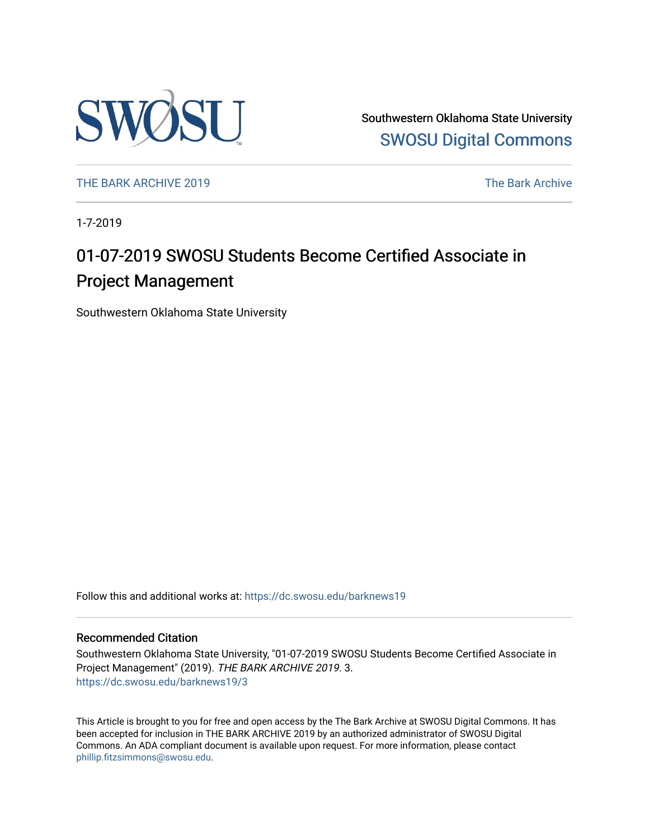

Southwestern Oklahoma State University [SWOSU Digital Commons](https://dc.swosu.edu/) 

[THE BARK ARCHIVE 2019](https://dc.swosu.edu/barknews19) The Bark Archive

1-7-2019

## 01-07-2019 SWOSU Students Become Certified Associate in Project Management

Southwestern Oklahoma State University

Follow this and additional works at: [https://dc.swosu.edu/barknews19](https://dc.swosu.edu/barknews19?utm_source=dc.swosu.edu%2Fbarknews19%2F3&utm_medium=PDF&utm_campaign=PDFCoverPages)

#### Recommended Citation

Southwestern Oklahoma State University, "01-07-2019 SWOSU Students Become Certified Associate in Project Management" (2019). THE BARK ARCHIVE 2019. 3. [https://dc.swosu.edu/barknews19/3](https://dc.swosu.edu/barknews19/3?utm_source=dc.swosu.edu%2Fbarknews19%2F3&utm_medium=PDF&utm_campaign=PDFCoverPages) 

This Article is brought to you for free and open access by the The Bark Archive at SWOSU Digital Commons. It has been accepted for inclusion in THE BARK ARCHIVE 2019 by an authorized administrator of SWOSU Digital Commons. An ADA compliant document is available upon request. For more information, please contact [phillip.fitzsimmons@swosu.edu](mailto:phillip.fitzsimmons@swosu.edu).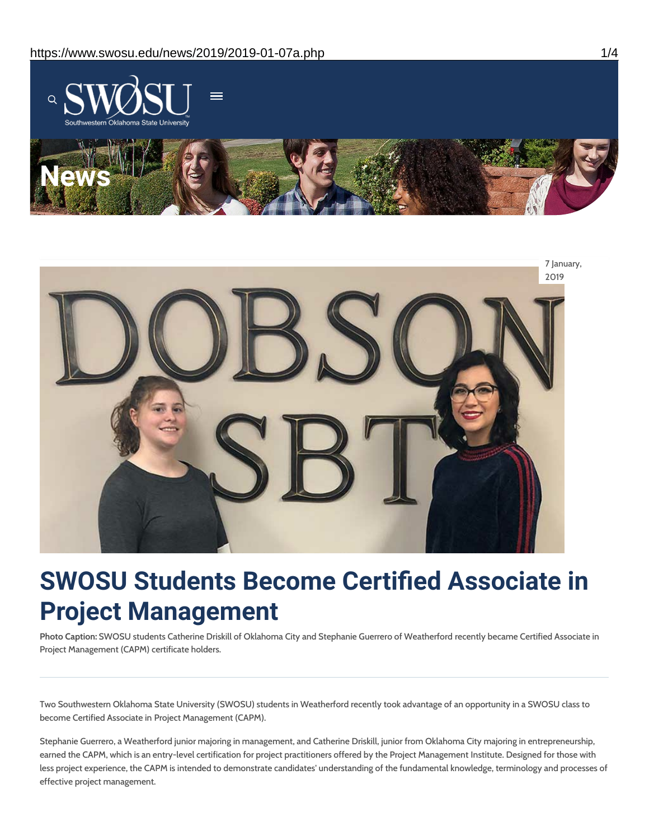



# **SWOSU Students Become Certified Associate in Project Management**

**Photo Caption:** SWOSU students Catherine Driskill of Oklahoma City and Stephanie Guerrero of Weatherford recently became Certified Associate in Project Management (CAPM) certificate holders.

Two Southwestern Oklahoma State University (SWOSU) students in Weatherford recently took advantage of an opportunity in a SWOSU class to become Certified Associate in Project Management (CAPM).

Stephanie Guerrero, a Weatherford junior majoring in management, and Catherine Driskill, junior from Oklahoma City majoring in entrepreneurship, earned the CAPM, which is an entry-level certification for project practitioners offered by the Project Management Institute. Designed for those with less project experience, the CAPM is intended to demonstrate candidates' understanding of the fundamental knowledge, terminology and processes of effective project management.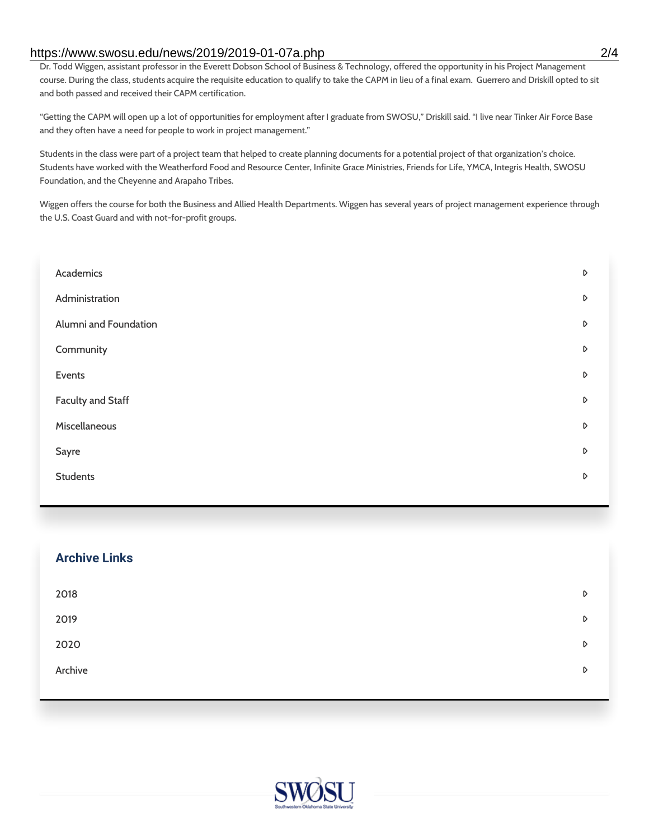#### https://www.swosu.edu/news/2019/2019-01-07a.php 2/4

Dr. Todd Wiggen, assistant professor in the Everett Dobson School of Business & Technology, offered the opportunity in his Project Management course. During the class, students acquire the requisite education to qualify to take the CAPM in lieu of a final exam. Guerrero and Driskill opted to sit and both passed and received their CAPM certification.

"Getting the CAPM will open up a lot of opportunities for employment after I graduate from SWOSU," Driskill said. "I live near Tinker Air Force Base and they often have a need for people to work in project management."

Students in the class were part of a project team that helped to create planning documents for a potential project of that organization's choice. Students have worked with the Weatherford Food and Resource Center, Infinite Grace Ministries, Friends for Life, YMCA, Integris Health, SWOSU Foundation, and the Cheyenne and Arapaho Tribes.

Wiggen offers the course for both the Business and Allied Health Departments. Wiggen has several years of project management experience through the U.S. Coast Guard and with not-for-profit groups.

| Academics                | D                |
|--------------------------|------------------|
| Administration           | $\triangleright$ |
| Alumni and Foundation    | D                |
| Community                | $\mathsf D$      |
| Events                   | D                |
| <b>Faculty and Staff</b> | D                |
| Miscellaneous            | D                |
| Sayre                    | D                |
| <b>Students</b>          | D                |
|                          |                  |

| <b>Archive Links</b> |   |
|----------------------|---|
| 2018                 | D |
| 2019                 | D |
| 2020                 | D |
| Archive              | D |
|                      |   |

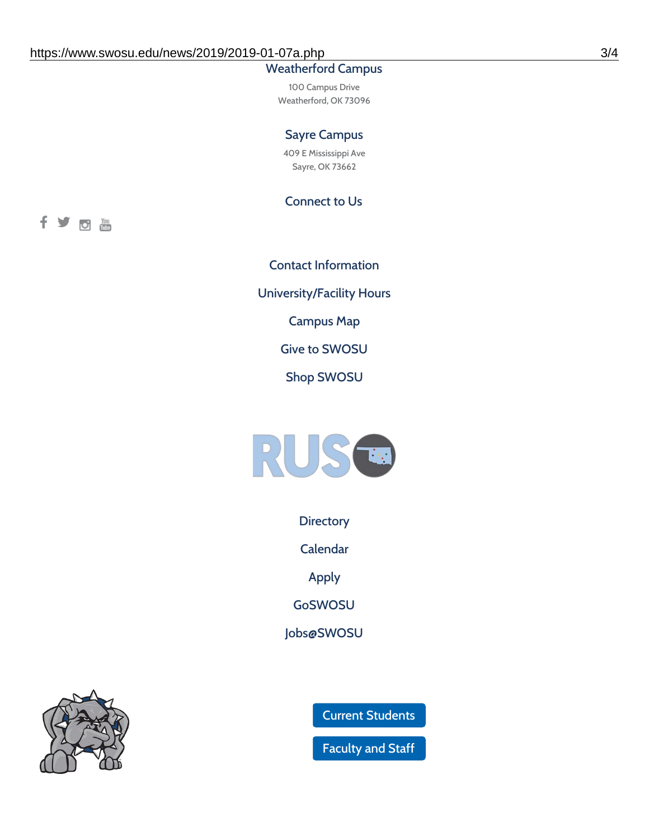### Weatherford Campus

100 Campus Drive Weatherford, OK 73096

#### Sayre Campus

409 E Mississippi Ave Sayre, OK 73662

Connect to Us

fyom

Contact [Information](https://www.swosu.edu/about/contact.php) [University/Facility](https://www.swosu.edu/about/operating-hours.php) Hours [Campus](https://map.concept3d.com/?id=768#!ct/10964,10214,10213,10212,10205,10204,10203,10202,10136,10129,10128,0,31226,10130,10201,10641,0) Map Give to [SWOSU](https://standingfirmly.com/donate) Shop [SWOSU](https://shopswosu.merchorders.com/)



**[Directory](https://www.swosu.edu/directory/index.php)** 

[Calendar](https://eventpublisher.dudesolutions.com/swosu/)

[Apply](https://www.swosu.edu/admissions/apply-to-swosu.php)

[GoSWOSU](https://qlsso.quicklaunchsso.com/home/1267)

[Jobs@SWOSU](https://swosu.csod.com/ux/ats/careersite/1/home?c=swosu)



Current [Students](https://bulldog.swosu.edu/index.php)

[Faculty](https://bulldog.swosu.edu/faculty-staff/index.php) and Staff